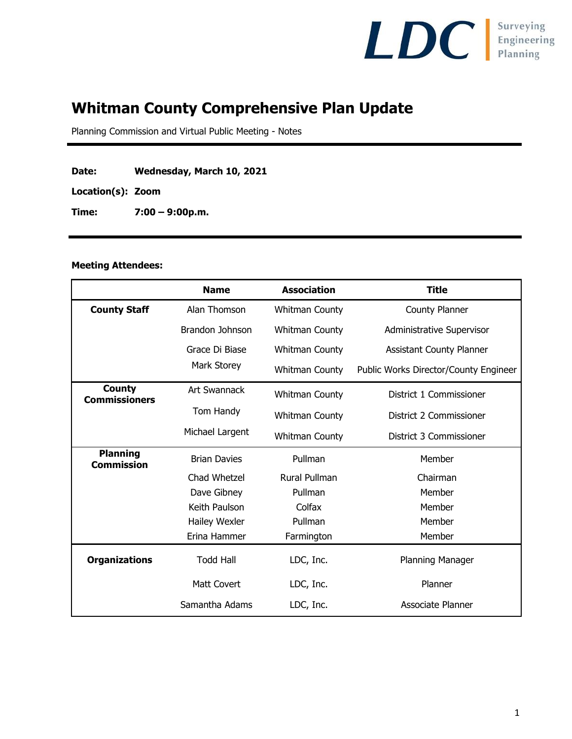

# **Whitman County Comprehensive Plan Update**

Planning Commission and Virtual Public Meeting - Notes

**Date: Wednesday, March 10, 2021**

**Location(s): Zoom**

**Time: 7:00 – 9:00p.m.**

#### **Meeting Attendees:**

|                                       | <b>Name</b>         | <b>Association</b>    | <b>Title</b>                          |
|---------------------------------------|---------------------|-----------------------|---------------------------------------|
| <b>County Staff</b>                   | Alan Thomson        | <b>Whitman County</b> | County Planner                        |
|                                       | Brandon Johnson     | <b>Whitman County</b> | <b>Administrative Supervisor</b>      |
|                                       | Grace Di Biase      | Whitman County        | <b>Assistant County Planner</b>       |
|                                       | Mark Storey         | <b>Whitman County</b> | Public Works Director/County Engineer |
| <b>County</b><br><b>Commissioners</b> | <b>Art Swannack</b> | <b>Whitman County</b> | District 1 Commissioner               |
|                                       | Tom Handy           | <b>Whitman County</b> | District 2 Commissioner               |
|                                       | Michael Largent     | <b>Whitman County</b> | District 3 Commissioner               |
| <b>Planning</b><br><b>Commission</b>  | <b>Brian Davies</b> | Pullman               | Member                                |
|                                       | Chad Whetzel        | <b>Rural Pullman</b>  | Chairman                              |
|                                       | Dave Gibney         | Pullman               | Member                                |
|                                       | Keith Paulson       | Colfax                | Member                                |
|                                       | Hailey Wexler       | Pullman               | Member                                |
|                                       | Erina Hammer        | Farmington            | Member                                |
| <b>Organizations</b>                  | <b>Todd Hall</b>    | LDC, Inc.             | <b>Planning Manager</b>               |
|                                       | <b>Matt Covert</b>  | LDC, Inc.             | Planner                               |
|                                       | Samantha Adams      | LDC, Inc.             | Associate Planner                     |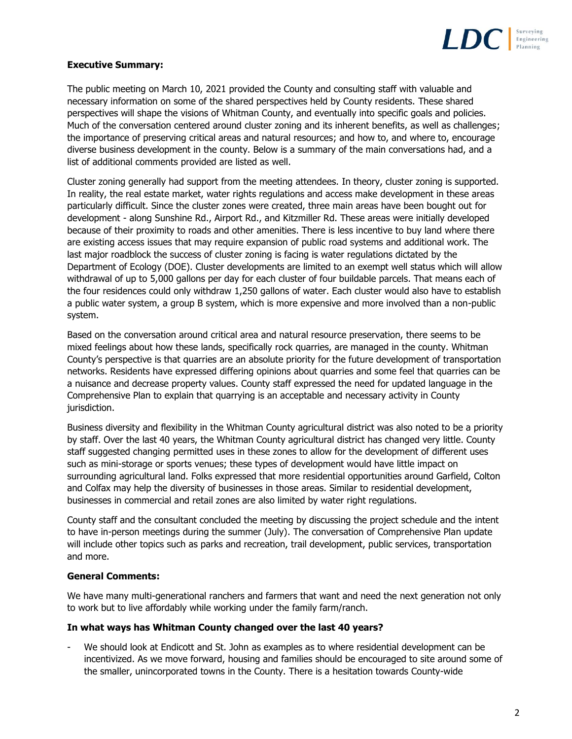

# **Executive Summary:**

The public meeting on March 10, 2021 provided the County and consulting staff with valuable and necessary information on some of the shared perspectives held by County residents. These shared perspectives will shape the visions of Whitman County, and eventually into specific goals and policies. Much of the conversation centered around cluster zoning and its inherent benefits, as well as challenges; the importance of preserving critical areas and natural resources; and how to, and where to, encourage diverse business development in the county. Below is a summary of the main conversations had, and a list of additional comments provided are listed as well.

Cluster zoning generally had support from the meeting attendees. In theory, cluster zoning is supported. In reality, the real estate market, water rights regulations and access make development in these areas particularly difficult. Since the cluster zones were created, three main areas have been bought out for development - along Sunshine Rd., Airport Rd., and Kitzmiller Rd. These areas were initially developed because of their proximity to roads and other amenities. There is less incentive to buy land where there are existing access issues that may require expansion of public road systems and additional work. The last major roadblock the success of cluster zoning is facing is water regulations dictated by the Department of Ecology (DOE). Cluster developments are limited to an exempt well status which will allow withdrawal of up to 5,000 gallons per day for each cluster of four buildable parcels. That means each of the four residences could only withdraw 1,250 gallons of water. Each cluster would also have to establish a public water system, a group B system, which is more expensive and more involved than a non-public system.

Based on the conversation around critical area and natural resource preservation, there seems to be mixed feelings about how these lands, specifically rock quarries, are managed in the county. Whitman County's perspective is that quarries are an absolute priority for the future development of transportation networks. Residents have expressed differing opinions about quarries and some feel that quarries can be a nuisance and decrease property values. County staff expressed the need for updated language in the Comprehensive Plan to explain that quarrying is an acceptable and necessary activity in County jurisdiction.

Business diversity and flexibility in the Whitman County agricultural district was also noted to be a priority by staff. Over the last 40 years, the Whitman County agricultural district has changed very little. County staff suggested changing permitted uses in these zones to allow for the development of different uses such as mini-storage or sports venues; these types of development would have little impact on surrounding agricultural land. Folks expressed that more residential opportunities around Garfield, Colton and Colfax may help the diversity of businesses in those areas. Similar to residential development, businesses in commercial and retail zones are also limited by water right regulations.

County staff and the consultant concluded the meeting by discussing the project schedule and the intent to have in-person meetings during the summer (July). The conversation of Comprehensive Plan update will include other topics such as parks and recreation, trail development, public services, transportation and more.

### **General Comments:**

We have many multi-generational ranchers and farmers that want and need the next generation not only to work but to live affordably while working under the family farm/ranch.

#### **In what ways has Whitman County changed over the last 40 years?**

We should look at Endicott and St. John as examples as to where residential development can be incentivized. As we move forward, housing and families should be encouraged to site around some of the smaller, unincorporated towns in the County. There is a hesitation towards County-wide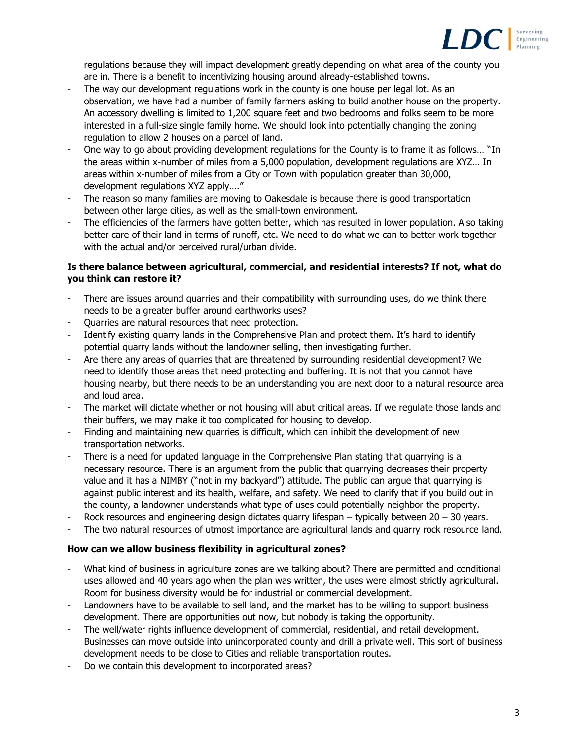

regulations because they will impact development greatly depending on what area of the county you are in. There is a benefit to incentivizing housing around already-established towns.

- The way our development regulations work in the county is one house per legal lot. As an observation, we have had a number of family farmers asking to build another house on the property. An accessory dwelling is limited to 1,200 square feet and two bedrooms and folks seem to be more interested in a full-size single family home. We should look into potentially changing the zoning regulation to allow 2 houses on a parcel of land.
- One way to go about providing development regulations for the County is to frame it as follows... "In the areas within x-number of miles from a 5,000 population, development regulations are XYZ… In areas within x-number of miles from a City or Town with population greater than 30,000, development regulations XYZ apply…."
- The reason so many families are moving to Oakesdale is because there is good transportation between other large cities, as well as the small-town environment.
- The efficiencies of the farmers have gotten better, which has resulted in lower population. Also taking better care of their land in terms of runoff, etc. We need to do what we can to better work together with the actual and/or perceived rural/urban divide.

## **Is there balance between agricultural, commercial, and residential interests? If not, what do you think can restore it?**

- There are issues around quarries and their compatibility with surrounding uses, do we think there needs to be a greater buffer around earthworks uses?
- Quarries are natural resources that need protection.
- Identify existing quarry lands in the Comprehensive Plan and protect them. It's hard to identify potential quarry lands without the landowner selling, then investigating further.
- Are there any areas of quarries that are threatened by surrounding residential development? We need to identify those areas that need protecting and buffering. It is not that you cannot have housing nearby, but there needs to be an understanding you are next door to a natural resource area and loud area.
- The market will dictate whether or not housing will abut critical areas. If we regulate those lands and their buffers, we may make it too complicated for housing to develop.
- Finding and maintaining new quarries is difficult, which can inhibit the development of new transportation networks.
- There is a need for updated language in the Comprehensive Plan stating that quarrying is a necessary resource. There is an argument from the public that quarrying decreases their property value and it has a NIMBY ("not in my backyard") attitude. The public can argue that quarrying is against public interest and its health, welfare, and safety. We need to clarify that if you build out in the county, a landowner understands what type of uses could potentially neighbor the property.
- Rock resources and engineering design dictates quarry lifespan typically between  $20 30$  years.
- The two natural resources of utmost importance are agricultural lands and quarry rock resource land.

# **How can we allow business flexibility in agricultural zones?**

- What kind of business in agriculture zones are we talking about? There are permitted and conditional uses allowed and 40 years ago when the plan was written, the uses were almost strictly agricultural. Room for business diversity would be for industrial or commercial development.
- Landowners have to be available to sell land, and the market has to be willing to support business development. There are opportunities out now, but nobody is taking the opportunity.
- The well/water rights influence development of commercial, residential, and retail development. Businesses can move outside into unincorporated county and drill a private well. This sort of business development needs to be close to Cities and reliable transportation routes.
- Do we contain this development to incorporated areas?